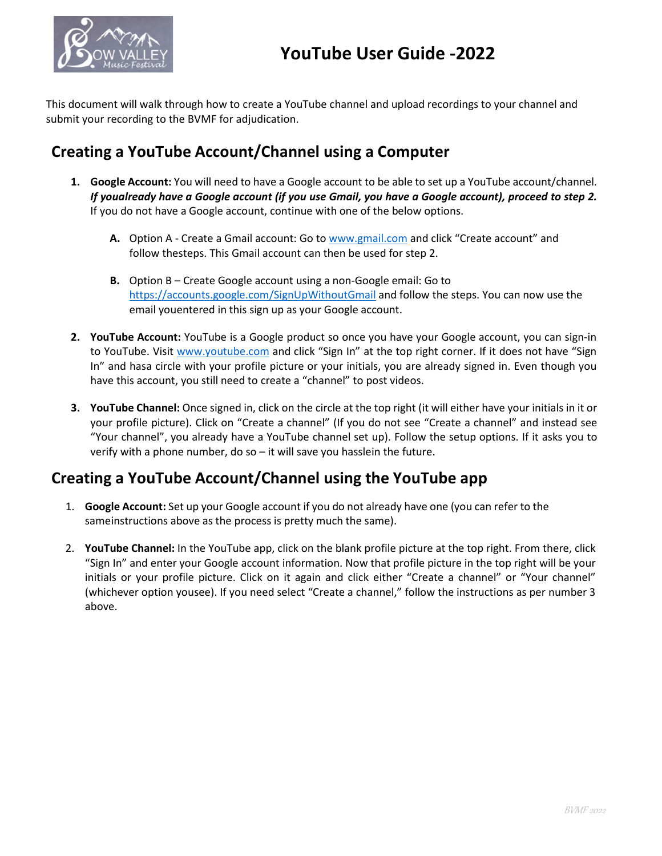

This document will walk through how to create a YouTube channel and upload recordings to your channel and submit your recording to the BVMF for adjudication.

## **Creating a YouTube Account/Channel using a Computer**

- **1. Google Account:** You will need to have a Google account to be able to set up a YouTube account/channel. *If youalready have a Google account (if you use Gmail, you have a Google account), proceed to step 2.*  If you do not have a Google account, continue with one of the below options.
	- **A.** Option A Create a Gmail account: Go to [www.gmail.com](http://www.gmail.com/) and click "Create account" and follow thesteps. This Gmail account can then be used for step 2.
	- **B.** Option B Create Google account using a non-Google email: Go to <https://accounts.google.com/SignUpWithoutGmail> and follow the steps. You can now use the email youentered in this sign up as your Google account.
- **2. YouTube Account:** YouTube is a Google product so once you have your Google account, you can sign-in to YouTube. Visit [www.youtube.com](http://www.youtube.com/) and click "Sign In" at the top right corner. If it does not have "Sign In" and hasa circle with your profile picture or your initials, you are already signed in. Even though you have this account, you still need to create a "channel" to post videos.
- **3. YouTube Channel:** Once signed in, click on the circle at the top right (it will either have your initials in it or your profile picture). Click on "Create a channel" (If you do not see "Create a channel" and instead see "Your channel", you already have a YouTube channel set up). Follow the setup options. If it asks you to verify with a phone number, do so – it will save you hasslein the future.

## **Creating a YouTube Account/Channel using the YouTube app**

- 1. **Google Account:** Set up your Google account if you do not already have one (you can refer to the sameinstructions above as the process is pretty much the same).
- 2. **YouTube Channel:** In the YouTube app, click on the blank profile picture at the top right. From there, click "Sign In" and enter your Google account information. Now that profile picture in the top right will be your initials or your profile picture. Click on it again and click either "Create a channel" or "Your channel" (whichever option yousee). If you need select "Create a channel," follow the instructions as per number 3 above.